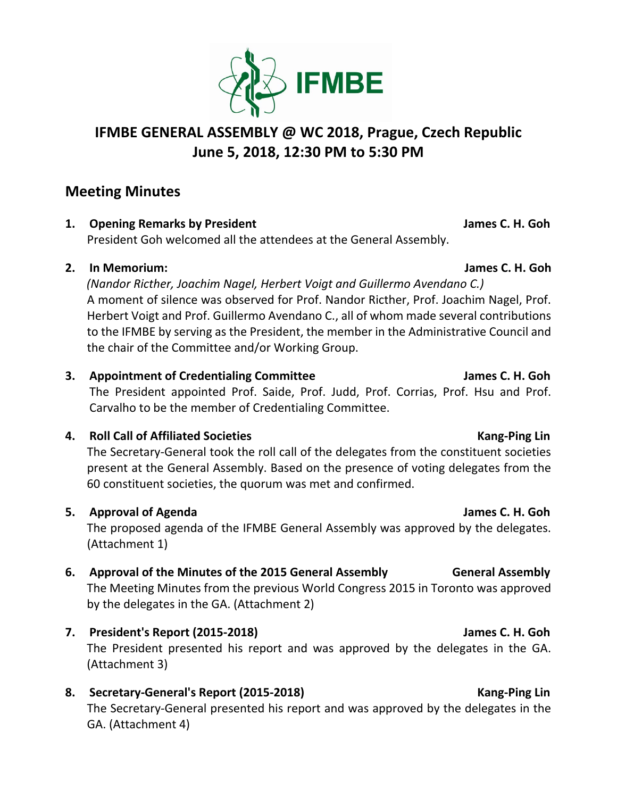

# **IFMBE GENERAL ASSEMBLY @ WC 2018, Prague, Czech Republic June 5, 2018, 12:30 PM to 5:30 PM**

# **Meeting Minutes**

**1. Opening Remarks by President Community Community Community Community Community Community Community Community Community Community Community Community Community Community Community Community Community Community Community** 

President Goh welcomed all the attendees at the General Assembly.

## **2. In Memorium: James C. H. Goh**

*(Nandor Ricther, Joachim Nagel, Herbert Voigt and Guillermo Avendano C.)* A moment of silence was observed for Prof. Nandor Ricther, Prof. Joachim Nagel, Prof. Herbert Voigt and Prof. Guillermo Avendano C., all of whom made several contributions to the IFMBE by serving as the President, the member in the Administrative Council and the chair of the Committee and/or Working Group.

## **3. Appointment of Credentialing Committee James C. H. Goh**

The President appointed Prof. Saide, Prof. Judd, Prof. Corrias, Prof. Hsu and Prof. Carvalho to be the member of Credentialing Committee.

## **4. Roll Call of Affiliated Societies Kang-Ping Lin Kang-Ping Lin**

The Secretary-General took the roll call of the delegates from the constituent societies present at the General Assembly. Based on the presence of voting delegates from the 60 constituent societies, the quorum was met and confirmed.

## **5. Approval of Agenda James C. H. Goh**

The proposed agenda of the IFMBE General Assembly was approved by the delegates. (Attachment 1)

## **6. Approval of the Minutes of the 2015 General Assembly General Assembly**

The Meeting Minutes from the previous World Congress 2015 in Toronto was approved by the delegates in the GA. (Attachment 2)

## **7. President's Report (2015-2018) James C. H. Goh**

The President presented his report and was approved by the delegates in the GA. (Attachment 3)

## **8. Secretary-General's Report (2015-2018) Kang-Ping Lin**

The Secretary-General presented his report and was approved by the delegates in the GA. (Attachment 4)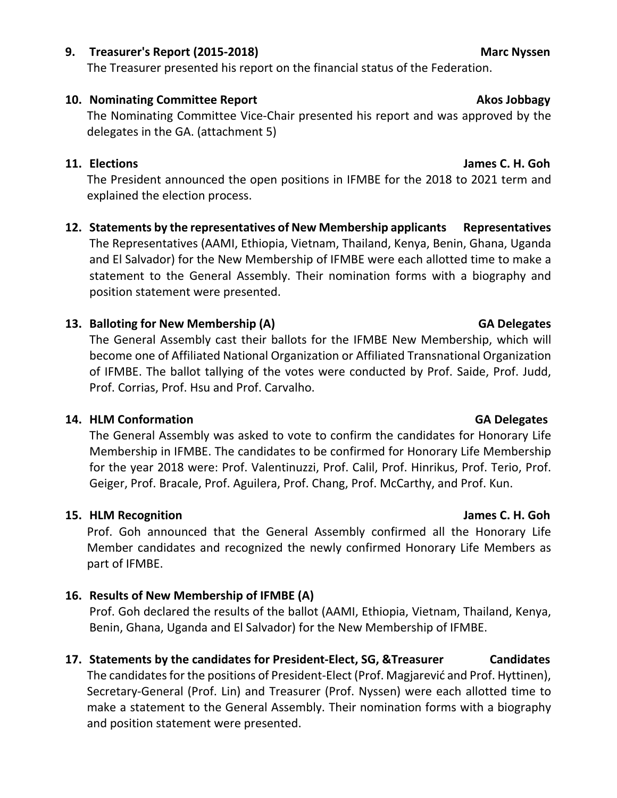## **9. Treasurer's Report (2015-2018) Marc Nyssen**

The Treasurer presented his report on the financial status of the Federation.

# **10.** Nominating Committee Report **Akos Jobbagy**

The Nominating Committee Vice-Chair presented his report and was approved by the delegates in the GA. (attachment 5)

## **11. Elections James C. H. Goh**

The President announced the open positions in IFMBE for the 2018 to 2021 term and explained the election process.

**12. Statements by the representatives of New Membership applicants Representatives** The Representatives (AAMI, Ethiopia, Vietnam, Thailand, Kenya, Benin, Ghana, Uganda and El Salvador) for the New Membership of IFMBE were each allotted time to make a statement to the General Assembly. Their nomination forms with a biography and position statement were presented.

## **13. Balloting for New Membership (A) GA Delegates**

The General Assembly cast their ballots for the IFMBE New Membership, which will become one of Affiliated National Organization or Affiliated Transnational Organization of IFMBE. The ballot tallying of the votes were conducted by Prof. Saide, Prof. Judd, Prof. Corrias, Prof. Hsu and Prof. Carvalho.

## **14. HLM Conformation GA Delegates**

The General Assembly was asked to vote to confirm the candidates for Honorary Life Membership in IFMBE. The candidates to be confirmed for Honorary Life Membership for the year 2018 were: Prof. Valentinuzzi, Prof. Calil, Prof. Hinrikus, Prof. Terio, Prof. Geiger, Prof. Bracale, Prof. Aguilera, Prof. Chang, Prof. McCarthy, and Prof. Kun.

## **15. HLM Recognition James C. H. Goh**

Prof. Goh announced that the General Assembly confirmed all the Honorary Life Member candidates and recognized the newly confirmed Honorary Life Members as part of IFMBE.

## **16. Results of New Membership of IFMBE (A)**

Prof. Goh declared the results of the ballot (AAMI, Ethiopia, Vietnam, Thailand, Kenya, Benin, Ghana, Uganda and El Salvador) for the New Membership of IFMBE.

## **17. Statements by the candidates for President-Elect, SG, &Treasurer Candidates**

The candidates for the positions of President-Elect (Prof. Magjarević and Prof. Hyttinen), Secretary-General (Prof. Lin) and Treasurer (Prof. Nyssen) were each allotted time to make a statement to the General Assembly. Their nomination forms with a biography and position statement were presented.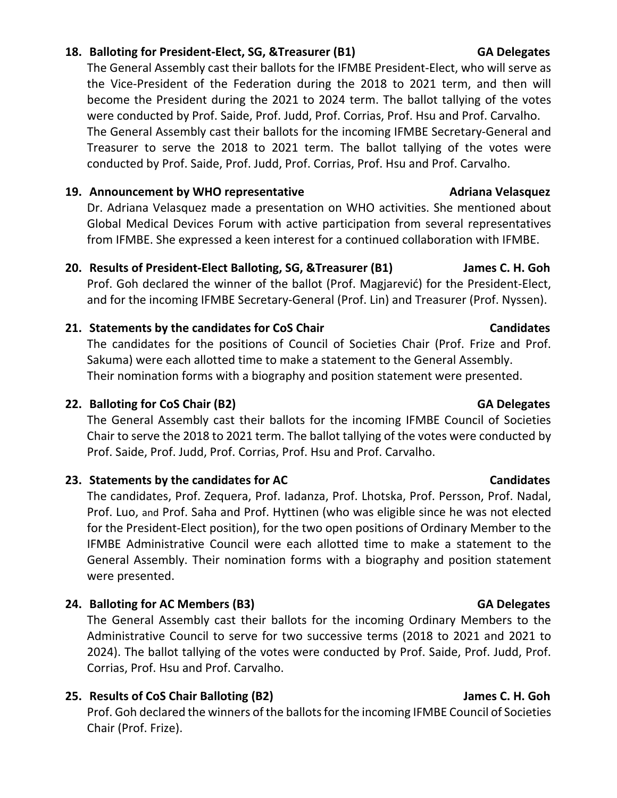### **18. Balloting for President-Elect, SG, &Treasurer (B1) GA Delegates**

The General Assembly cast their ballots for the IFMBE President-Elect, who will serve as the Vice-President of the Federation during the 2018 to 2021 term, and then will become the President during the 2021 to 2024 term. The ballot tallying of the votes were conducted by Prof. Saide, Prof. Judd, Prof. Corrias, Prof. Hsu and Prof. Carvalho. The General Assembly cast their ballots for the incoming IFMBE Secretary-General and Treasurer to serve the 2018 to 2021 term. The ballot tallying of the votes were conducted by Prof. Saide, Prof. Judd, Prof. Corrias, Prof. Hsu and Prof. Carvalho.

### **19. Announcement by WHO representative Adriana Velasquez Adriana Velasquez**

Dr. Adriana Velasquez made a presentation on WHO activities. She mentioned about Global Medical Devices Forum with active participation from several representatives from IFMBE. She expressed a keen interest for a continued collaboration with IFMBE.

### **20. Results of President-Elect Balloting, SG, &Treasurer (B1) James C. H. Goh**

Prof. Goh declared the winner of the ballot (Prof. Magjarević) for the President-Elect, and for the incoming IFMBE Secretary-General (Prof. Lin) and Treasurer (Prof. Nyssen).

### **21. Statements by the candidates for CoS Chair Candidates**

The candidates for the positions of Council of Societies Chair (Prof. Frize and Prof. Sakuma) were each allotted time to make a statement to the General Assembly. Their nomination forms with a biography and position statement were presented.

### **22. Balloting for CoS Chair (B2) GA Delegates**

The General Assembly cast their ballots for the incoming IFMBE Council of Societies Chair to serve the 2018 to 2021 term. The ballot tallying of the votes were conducted by Prof. Saide, Prof. Judd, Prof. Corrias, Prof. Hsu and Prof. Carvalho.

### **23. Statements by the candidates for AC Candidates**

The candidates, Prof. Zequera, Prof. Iadanza, Prof. Lhotska, Prof. Persson, Prof. Nadal, Prof. Luo, and Prof. Saha and Prof. Hyttinen (who was eligible since he was not elected for the President-Elect position), for the two open positions of Ordinary Member to the IFMBE Administrative Council were each allotted time to make a statement to the General Assembly. Their nomination forms with a biography and position statement were presented.

### **24. Balloting for AC Members (B3) GA Delegates**

The General Assembly cast their ballots for the incoming Ordinary Members to the Administrative Council to serve for two successive terms (2018 to 2021 and 2021 to 2024). The ballot tallying of the votes were conducted by Prof. Saide, Prof. Judd, Prof. Corrias, Prof. Hsu and Prof. Carvalho.

### **25. Results of CoS Chair Balloting (B2) James C. H. Goh**

Prof. Goh declared the winners of the ballots for the incoming IFMBE Council of Societies Chair (Prof. Frize).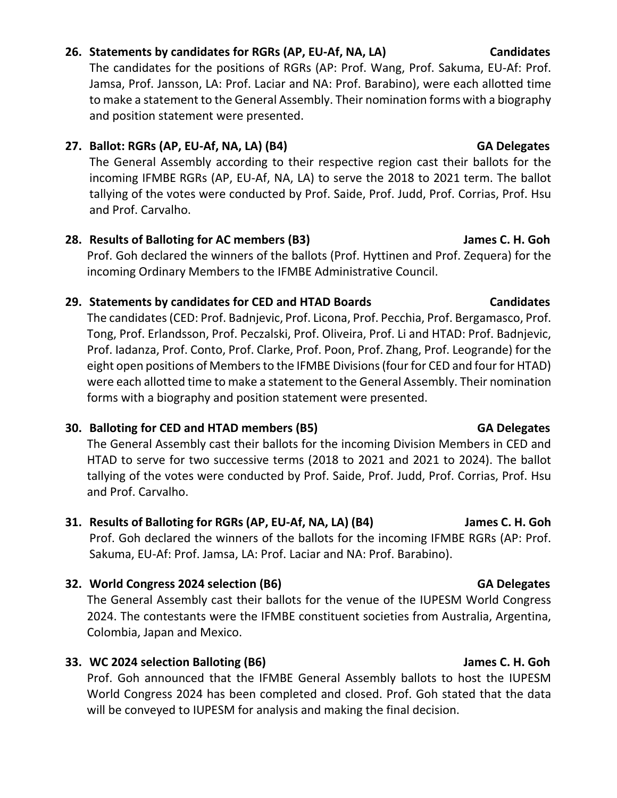# **26. Statements by candidates for RGRs (AP, EU-Af, NA, LA) Candidates**

The candidates for the positions of RGRs (AP: Prof. Wang, Prof. Sakuma, EU-Af: Prof. Jamsa, Prof. Jansson, LA: Prof. Laciar and NA: Prof. Barabino), were each allotted time to make a statement to the General Assembly. Their nomination forms with a biography and position statement were presented.

## 27. Ballot: RGRs (AP, EU-Af, NA, LA) (B4) GA Delegates

The General Assembly according to their respective region cast their ballots for the incoming IFMBE RGRs (AP, EU-Af, NA, LA) to serve the 2018 to 2021 term. The ballot tallying of the votes were conducted by Prof. Saide, Prof. Judd, Prof. Corrias, Prof. Hsu and Prof. Carvalho.

## **28. Results of Balloting for AC members (B3) James C. H. Goh**

Prof. Goh declared the winners of the ballots (Prof. Hyttinen and Prof. Zequera) for the incoming Ordinary Members to the IFMBE Administrative Council.

## **29. Statements by candidates for CED and HTAD Boards Candidates**

The candidates (CED: Prof. Badnjevic, Prof. Licona, Prof. Pecchia, Prof. Bergamasco, Prof. Tong, Prof. Erlandsson, Prof. Peczalski, Prof. Oliveira, Prof. Li and HTAD: Prof. Badnjevic, Prof. Iadanza, Prof. Conto, Prof. Clarke, Prof. Poon, Prof. Zhang, Prof. Leogrande) for the eight open positions of Members to the IFMBE Divisions (four for CED and four for HTAD) were each allotted time to make a statement to the General Assembly. Their nomination forms with a biography and position statement were presented.

## **30. Balloting for CED and HTAD members (B5) GA Delegates**

The General Assembly cast their ballots for the incoming Division Members in CED and HTAD to serve for two successive terms (2018 to 2021 and 2021 to 2024). The ballot tallying of the votes were conducted by Prof. Saide, Prof. Judd, Prof. Corrias, Prof. Hsu and Prof. Carvalho.

## **31. Results of Balloting for RGRs (AP, EU-Af, NA, LA) (B4) James C. H. Goh**

Prof. Goh declared the winners of the ballots for the incoming IFMBE RGRs (AP: Prof. Sakuma, EU-Af: Prof. Jamsa, LA: Prof. Laciar and NA: Prof. Barabino).

## **32. World Congress 2024 selection (B6) GA Delegates**

The General Assembly cast their ballots for the venue of the IUPESM World Congress 2024. The contestants were the IFMBE constituent societies from Australia, Argentina, Colombia, Japan and Mexico.

## **33. WC 2024 selection Balloting (B6) James C. H. Goh**

Prof. Goh announced that the IFMBE General Assembly ballots to host the IUPESM World Congress 2024 has been completed and closed. Prof. Goh stated that the data will be conveyed to IUPESM for analysis and making the final decision.